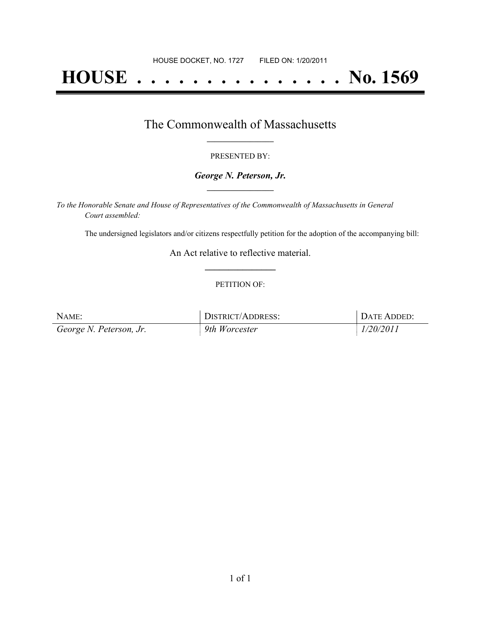# **HOUSE . . . . . . . . . . . . . . . No. 1569**

### The Commonwealth of Massachusetts **\_\_\_\_\_\_\_\_\_\_\_\_\_\_\_\_\_**

#### PRESENTED BY:

#### *George N. Peterson, Jr.* **\_\_\_\_\_\_\_\_\_\_\_\_\_\_\_\_\_**

*To the Honorable Senate and House of Representatives of the Commonwealth of Massachusetts in General Court assembled:*

The undersigned legislators and/or citizens respectfully petition for the adoption of the accompanying bill:

An Act relative to reflective material. **\_\_\_\_\_\_\_\_\_\_\_\_\_\_\_**

#### PETITION OF:

| NAME:                   | DISTRICT/ADDRESS: | DATE ADDED: |
|-------------------------|-------------------|-------------|
| George N. Peterson, Jr. | 9th Worcester     | 1/20/2011   |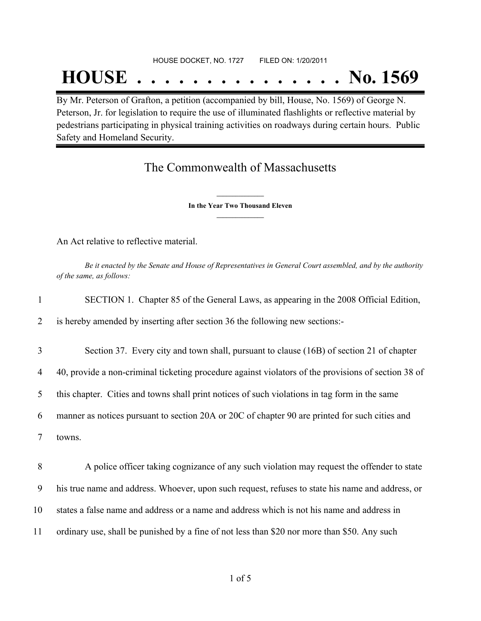## HOUSE DOCKET, NO. 1727 FILED ON: 1/20/2011

## **HOUSE . . . . . . . . . . . . . . . No. 1569**

By Mr. Peterson of Grafton, a petition (accompanied by bill, House, No. 1569) of George N. Peterson, Jr. for legislation to require the use of illuminated flashlights or reflective material by pedestrians participating in physical training activities on roadways during certain hours. Public Safety and Homeland Security.

## The Commonwealth of Massachusetts

**\_\_\_\_\_\_\_\_\_\_\_\_\_\_\_ In the Year Two Thousand Eleven \_\_\_\_\_\_\_\_\_\_\_\_\_\_\_**

An Act relative to reflective material.

Be it enacted by the Senate and House of Representatives in General Court assembled, and by the authority *of the same, as follows:*

| 1  | SECTION 1. Chapter 85 of the General Laws, as appearing in the 2008 Official Edition,               |
|----|-----------------------------------------------------------------------------------------------------|
| 2  | is hereby amended by inserting after section 36 the following new sections:-                        |
| 3  | Section 37. Every city and town shall, pursuant to clause (16B) of section 21 of chapter            |
| 4  | 40, provide a non-criminal ticketing procedure against violators of the provisions of section 38 of |
| 5  | this chapter. Cities and towns shall print notices of such violations in tag form in the same       |
| 6  | manner as notices pursuant to section 20A or 20C of chapter 90 are printed for such cities and      |
| 7  | towns.                                                                                              |
| 8  | A police officer taking cognizance of any such violation may request the offender to state          |
| 9  | his true name and address. Whoever, upon such request, refuses to state his name and address, or    |
| 10 | states a false name and address or a name and address which is not his name and address in          |
| 11 | ordinary use, shall be punished by a fine of not less than \$20 nor more than \$50. Any such        |
|    |                                                                                                     |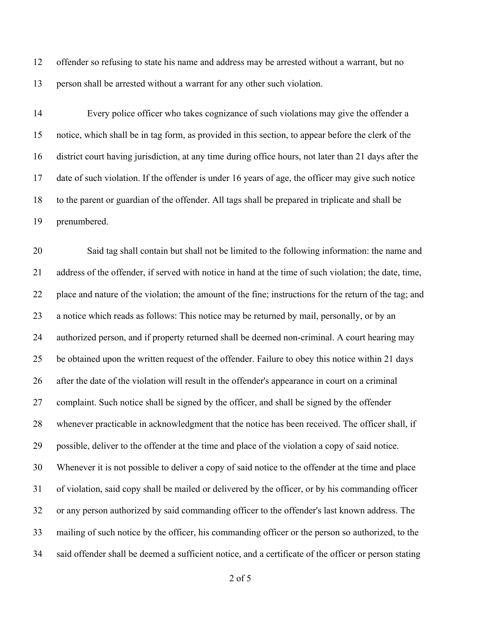offender so refusing to state his name and address may be arrested without a warrant, but no person shall be arrested without a warrant for any other such violation.

 Every police officer who takes cognizance of such violations may give the offender a notice, which shall be in tag form, as provided in this section, to appear before the clerk of the district court having jurisdiction, at any time during office hours, not later than 21 days after the date of such violation. If the offender is under 16 years of age, the officer may give such notice to the parent or guardian of the offender. All tags shall be prepared in triplicate and shall be prenumbered.

 Said tag shall contain but shall not be limited to the following information: the name and address of the offender, if served with notice in hand at the time of such violation; the date, time, place and nature of the violation; the amount of the fine; instructions for the return of the tag; and a notice which reads as follows: This notice may be returned by mail, personally, or by an authorized person, and if property returned shall be deemed non-criminal. A court hearing may be obtained upon the written request of the offender. Failure to obey this notice within 21 days after the date of the violation will result in the offender's appearance in court on a criminal complaint. Such notice shall be signed by the officer, and shall be signed by the offender whenever practicable in acknowledgment that the notice has been received. The officer shall, if possible, deliver to the offender at the time and place of the violation a copy of said notice. Whenever it is not possible to deliver a copy of said notice to the offender at the time and place of violation, said copy shall be mailed or delivered by the officer, or by his commanding officer or any person authorized by said commanding officer to the offender's last known address. The mailing of such notice by the officer, his commanding officer or the person so authorized, to the said offender shall be deemed a sufficient notice, and a certificate of the officer or person stating

of 5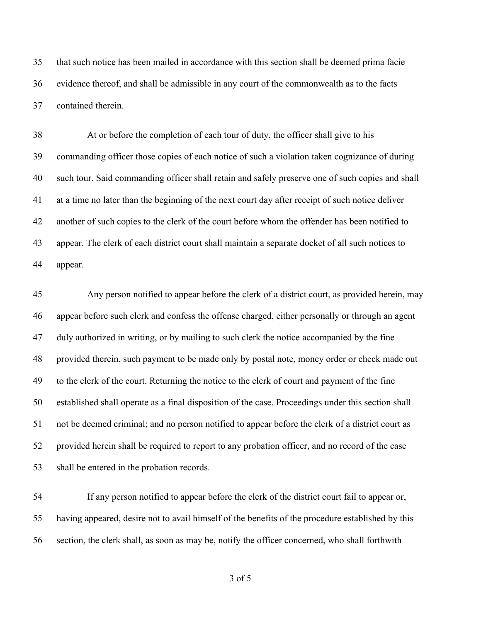that such notice has been mailed in accordance with this section shall be deemed prima facie evidence thereof, and shall be admissible in any court of the commonwealth as to the facts contained therein.

 At or before the completion of each tour of duty, the officer shall give to his commanding officer those copies of each notice of such a violation taken cognizance of during such tour. Said commanding officer shall retain and safely preserve one of such copies and shall at a time no later than the beginning of the next court day after receipt of such notice deliver another of such copies to the clerk of the court before whom the offender has been notified to appear. The clerk of each district court shall maintain a separate docket of all such notices to appear.

 Any person notified to appear before the clerk of a district court, as provided herein, may appear before such clerk and confess the offense charged, either personally or through an agent duly authorized in writing, or by mailing to such clerk the notice accompanied by the fine provided therein, such payment to be made only by postal note, money order or check made out to the clerk of the court. Returning the notice to the clerk of court and payment of the fine established shall operate as a final disposition of the case. Proceedings under this section shall not be deemed criminal; and no person notified to appear before the clerk of a district court as provided herein shall be required to report to any probation officer, and no record of the case shall be entered in the probation records.

 If any person notified to appear before the clerk of the district court fail to appear or, having appeared, desire not to avail himself of the benefits of the procedure established by this section, the clerk shall, as soon as may be, notify the officer concerned, who shall forthwith

of 5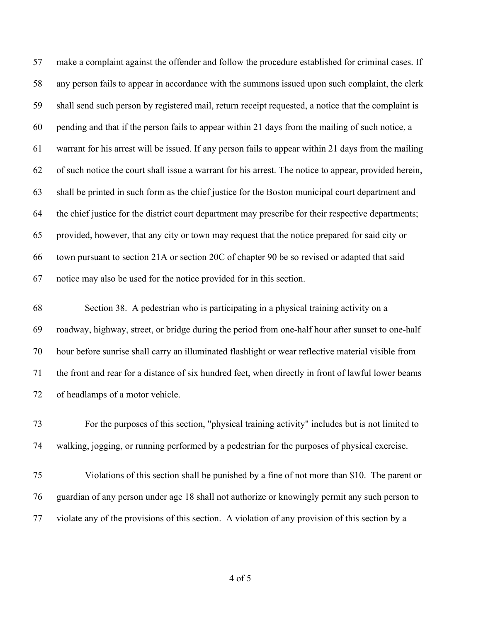make a complaint against the offender and follow the procedure established for criminal cases. If any person fails to appear in accordance with the summons issued upon such complaint, the clerk shall send such person by registered mail, return receipt requested, a notice that the complaint is pending and that if the person fails to appear within 21 days from the mailing of such notice, a warrant for his arrest will be issued. If any person fails to appear within 21 days from the mailing of such notice the court shall issue a warrant for his arrest. The notice to appear, provided herein, shall be printed in such form as the chief justice for the Boston municipal court department and the chief justice for the district court department may prescribe for their respective departments; provided, however, that any city or town may request that the notice prepared for said city or town pursuant to section 21A or section 20C of chapter 90 be so revised or adapted that said notice may also be used for the notice provided for in this section.

 Section 38. A pedestrian who is participating in a physical training activity on a roadway, highway, street, or bridge during the period from one-half hour after sunset to one-half hour before sunrise shall carry an illuminated flashlight or wear reflective material visible from the front and rear for a distance of six hundred feet, when directly in front of lawful lower beams of headlamps of a motor vehicle.

 For the purposes of this section, "physical training activity" includes but is not limited to walking, jogging, or running performed by a pedestrian for the purposes of physical exercise.

 Violations of this section shall be punished by a fine of not more than \$10. The parent or guardian of any person under age 18 shall not authorize or knowingly permit any such person to violate any of the provisions of this section. A violation of any provision of this section by a